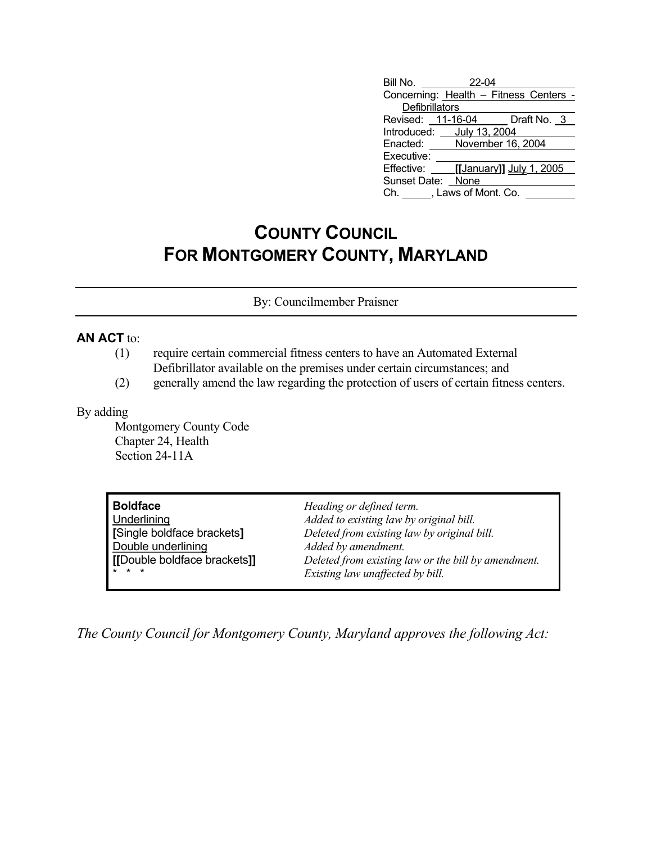| Bill No. 22-04                         |                            |                                            |  |  |  |
|----------------------------------------|----------------------------|--------------------------------------------|--|--|--|
| Concerning: Health - Fitness Centers - |                            |                                            |  |  |  |
| Defibrillators                         |                            |                                            |  |  |  |
|                                        |                            | Revised: 11-16-04 Draft No. 3              |  |  |  |
| Introduced: July 13, 2004              |                            |                                            |  |  |  |
|                                        | Enacted: November 16, 2004 |                                            |  |  |  |
| Executive:                             |                            |                                            |  |  |  |
|                                        |                            | Effective: <b>[[January]]</b> July 1, 2005 |  |  |  |
| Sunset Date: None                      |                            |                                            |  |  |  |
| Ch. J. Laws of Mont. Co.               |                            |                                            |  |  |  |

## **COUNTY COUNCIL FOR MONTGOMERY COUNTY, MARYLAND**

By: Councilmember Praisner

## **AN ACT** to:

- (1) require certain commercial fitness centers to have an Automated External Defibrillator available on the premises under certain circumstances; and
- (2) generally amend the law regarding the protection of users of certain fitness centers.

## By adding

 Montgomery County Code Chapter 24, Health Section 24-11A

| <b>Boldface</b>             | Heading or defined term.                            |
|-----------------------------|-----------------------------------------------------|
| Underlining                 | Added to existing law by original bill.             |
| [Single boldface brackets]  | Deleted from existing law by original bill.         |
| Double underlining          | Added by amendment.                                 |
| [Double boldface brackets]] | Deleted from existing law or the bill by amendment. |
| $* * *$                     | Existing law unaffected by bill.                    |

*The County Council for Montgomery County, Maryland approves the following Act:*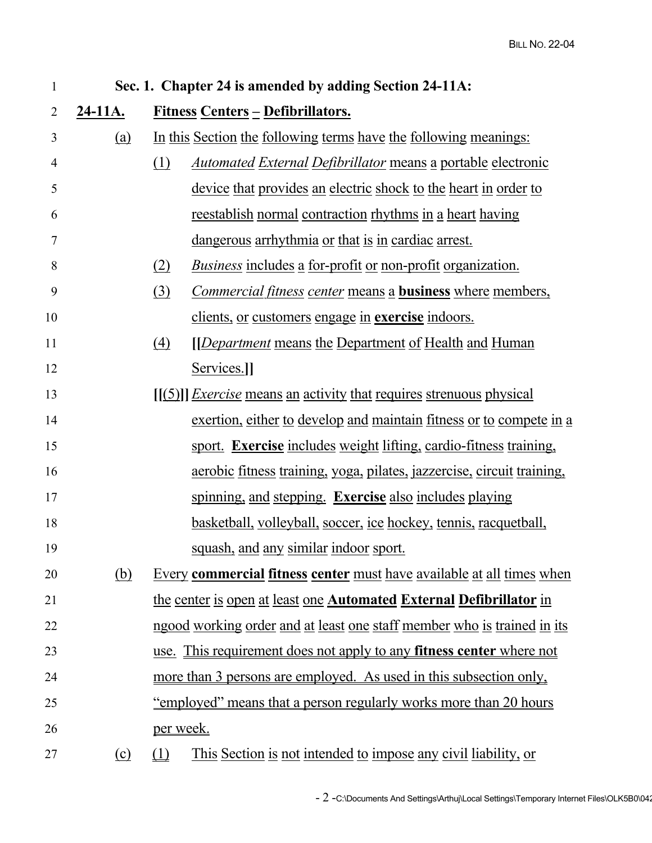| $\mathbf{1}$ | Sec. 1. Chapter 24 is amended by adding Section 24-11A: |                                                                                  |  |  |
|--------------|---------------------------------------------------------|----------------------------------------------------------------------------------|--|--|
| 2            | <u>24-11A.</u>                                          | <u>Fitness Centers - Defibrillators.</u>                                         |  |  |
| 3            | <u>(a)</u>                                              | In this Section the following terms have the following meanings:                 |  |  |
| 4            |                                                         | (1)<br><u>Automated External Defibrillator means a portable electronic</u>       |  |  |
| 5            |                                                         | <u>device that provides an electric shock to the heart in order to</u>           |  |  |
| 6            |                                                         | <u>reestablish normal contraction rhythms in a heart having</u>                  |  |  |
| 7            |                                                         | <u>dangerous arrhythmia or that is in cardiac arrest.</u>                        |  |  |
| 8            |                                                         | <i>Business</i> includes a for-profit or non-profit organization.<br>(2)         |  |  |
| 9            |                                                         | (3)<br><i>Commercial fitness center</i> means a <b>business</b> where members,   |  |  |
| 10           |                                                         | <u>clients, or customers engage in exercise indoors.</u>                         |  |  |
| 11           |                                                         | <i><u><b>[Department means the Department of Health and Human</b></u></i><br>(4) |  |  |
| 12           |                                                         | Services.]]                                                                      |  |  |
| 13           |                                                         | [[(5)]] <i>Exercise</i> means an activity that requires strenuous physical       |  |  |
| 14           |                                                         | exertion, either to develop and maintain fitness or to compete in a              |  |  |
| 15           |                                                         | sport. Exercise includes weight lifting, cardio-fitness training.                |  |  |
| 16           |                                                         | <u>aerobic fitness training, yoga, pilates, jazzercise, circuit training,</u>    |  |  |
| 17           |                                                         | spinning, and stepping. Exercise also includes playing                           |  |  |
| 18           |                                                         | <u>basketball, volleyball, soccer, ice hockey, tennis, racquetball,</u>          |  |  |
| 19           |                                                         | squash, and any similar indoor sport.                                            |  |  |
| 20           | (b)                                                     | Every commercial fitness center must have available at all times when            |  |  |
| 21           |                                                         | the center is open at least one Automated External Defibrillator in              |  |  |
| 22           |                                                         | ngood working order and at least one staff member who is trained in its          |  |  |
| 23           |                                                         | use. This requirement does not apply to any <b>fitness center</b> where not      |  |  |
| 24           |                                                         | more than 3 persons are employed. As used in this subsection only,               |  |  |
| 25           |                                                         | "employed" means that a person regularly works more than 20 hours                |  |  |
| 26           |                                                         | per week.                                                                        |  |  |
| 27           | (c)                                                     | <u>This Section is not intended to impose any civil liability, or</u><br>(1)     |  |  |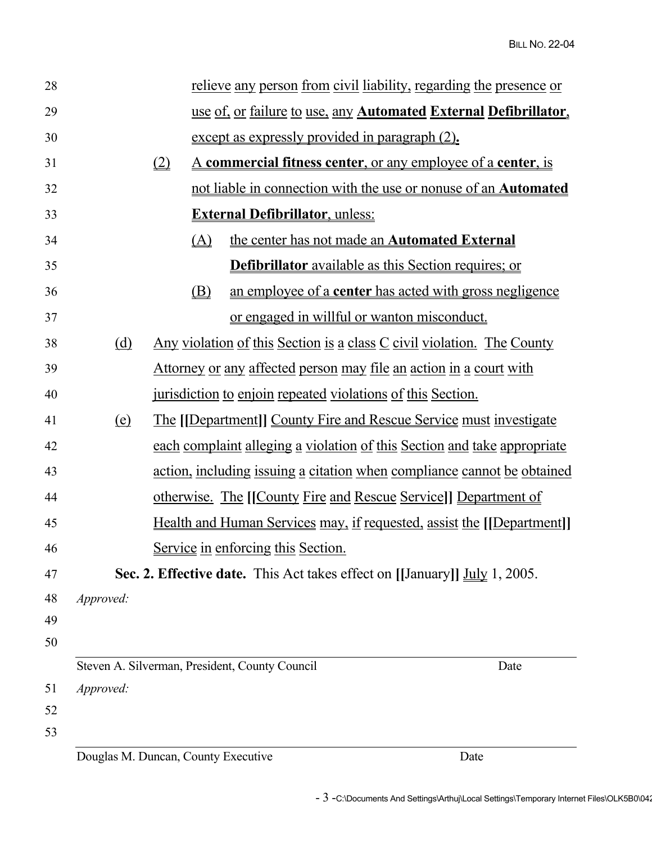| 28 |                                                                               |                                                                               |                                                                            | relieve any person from civil liability, regarding the presence or |  |
|----|-------------------------------------------------------------------------------|-------------------------------------------------------------------------------|----------------------------------------------------------------------------|--------------------------------------------------------------------|--|
| 29 | use of, or failure to use, any Automated External Defibrillator,              |                                                                               |                                                                            |                                                                    |  |
| 30 | except as expressly provided in paragraph (2).                                |                                                                               |                                                                            |                                                                    |  |
| 31 |                                                                               | (2)<br><u>A commercial fitness center, or any employee of a center, is</u>    |                                                                            |                                                                    |  |
| 32 |                                                                               | <u>not liable in connection with the use or nonuse of an <b>Automated</b></u> |                                                                            |                                                                    |  |
| 33 | <b>External Defibrillator</b> , unless:                                       |                                                                               |                                                                            |                                                                    |  |
| 34 |                                                                               | (A)                                                                           | the center has not made an <b>Automated External</b>                       |                                                                    |  |
| 35 |                                                                               |                                                                               | <b>Defibrillator</b> available as this Section requires; or                |                                                                    |  |
| 36 |                                                                               | $\circled{B}$                                                                 |                                                                            | an employee of a <b>center</b> has acted with gross negligence     |  |
| 37 |                                                                               |                                                                               | or engaged in willful or wanton misconduct.                                |                                                                    |  |
| 38 | (d)                                                                           | Any violation of this Section is a class C civil violation. The County        |                                                                            |                                                                    |  |
| 39 | <u>Attorney or any affected person may file an action in a court with</u>     |                                                                               |                                                                            |                                                                    |  |
| 40 | jurisdiction to enjoin repeated violations of this Section.                   |                                                                               |                                                                            |                                                                    |  |
| 41 | (e)                                                                           | <u>The [[Department]] County Fire and Rescue Service must investigate</u>     |                                                                            |                                                                    |  |
| 42 |                                                                               | each complaint alleging a violation of this Section and take appropriate      |                                                                            |                                                                    |  |
| 43 | action, including issuing a citation when compliance cannot be obtained       |                                                                               |                                                                            |                                                                    |  |
| 44 | <u>otherwise. The [[County Fire and Rescue Service]] Department of</u>        |                                                                               |                                                                            |                                                                    |  |
| 45 | <u>Health and Human Services may, if requested, assist the [[Department]]</u> |                                                                               |                                                                            |                                                                    |  |
| 46 | Service in enforcing this Section.                                            |                                                                               |                                                                            |                                                                    |  |
| 47 |                                                                               |                                                                               | Sec. 2. Effective date. This Act takes effect on [[January]] July 1, 2005. |                                                                    |  |
| 48 | Approved:                                                                     |                                                                               |                                                                            |                                                                    |  |
| 49 |                                                                               |                                                                               |                                                                            |                                                                    |  |
| 50 |                                                                               |                                                                               |                                                                            |                                                                    |  |
| 51 | Approved:                                                                     |                                                                               | Steven A. Silverman, President, County Council                             | Date                                                               |  |
| 52 |                                                                               |                                                                               |                                                                            |                                                                    |  |
| 53 |                                                                               |                                                                               |                                                                            |                                                                    |  |
|    |                                                                               | Douglas M. Duncan, County Executive                                           |                                                                            | Date                                                               |  |